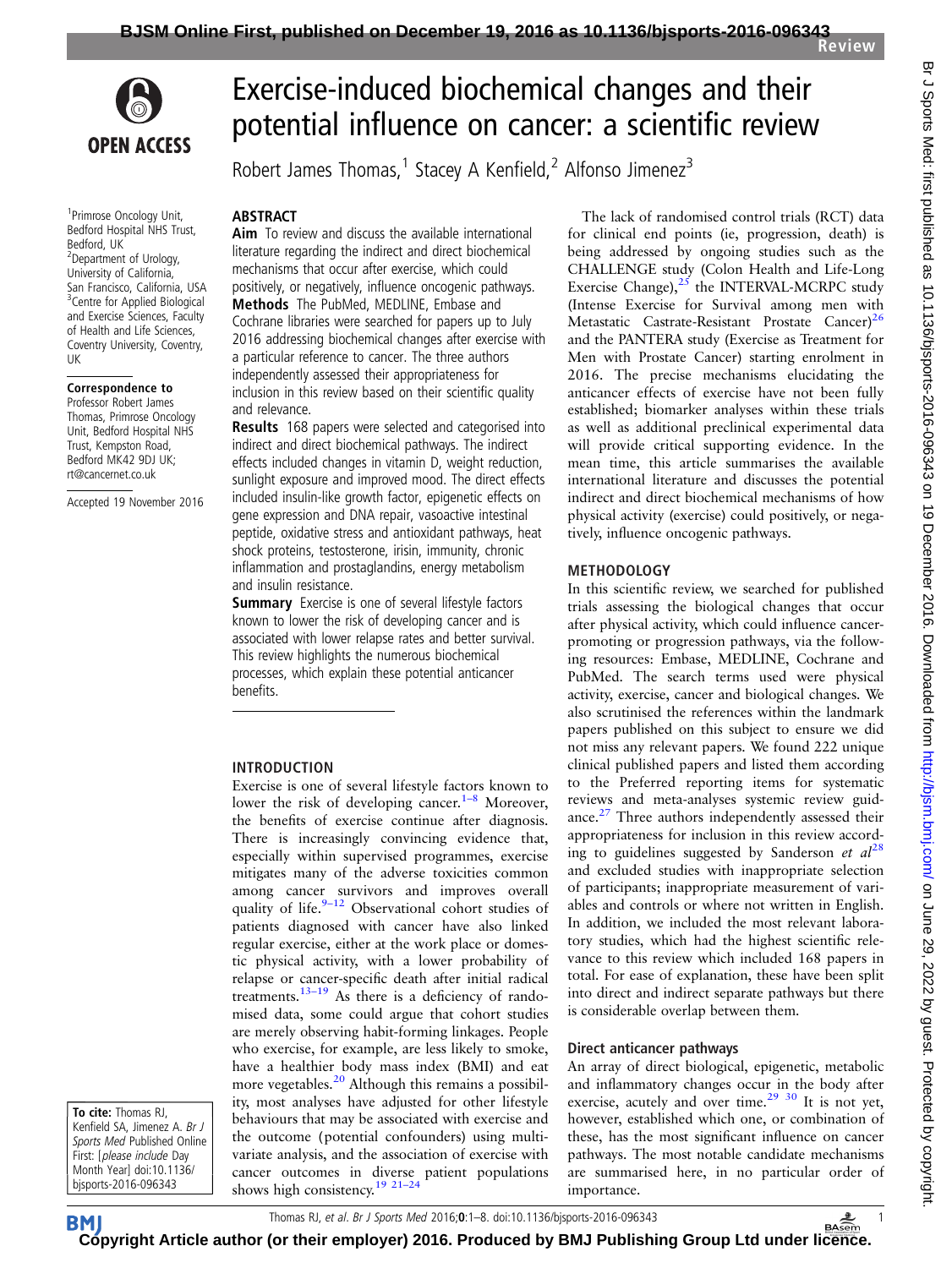

<sup>1</sup> Primrose Oncology Unit, Bedford Hospital NHS Trust, Bedford, UK <sup>2</sup>Department of Urology, University of California, San Francisco, California, USA <sup>3</sup> Centre for Applied Biological and Exercise Sciences, Faculty of Health and Life Sciences, Coventry University, Coventry, UK

#### Correspondence to

Professor Robert James Thomas, Primrose Oncology Unit, Bedford Hospital NHS Trust, Kempston Road, Bedford MK42 9DJ UK; rt@cancernet.co.uk

Accepted 19 November 2016

To cite: Thomas RJ, Kenfield SA, Jimenez A. Br J Sports Med Published Online First: [please include Day Month Year] doi:10.1136/ bjsports-2016-096343

**BM** 

# Exercise-induced biochemical changes and their potential influence on cancer: a scientific review

Robert James Thomas,<sup>1</sup> Stacey A Kenfield,<sup>2</sup> Alfonso Jimenez<sup>3</sup>

#### ABSTRACT

Aim To review and discuss the available international literature regarding the indirect and direct biochemical mechanisms that occur after exercise, which could positively, or negatively, influence oncogenic pathways. Methods The PubMed, MEDLINE, Embase and Cochrane libraries were searched for papers up to July 2016 addressing biochemical changes after exercise with a particular reference to cancer. The three authors independently assessed their appropriateness for inclusion in this review based on their scientific quality and relevance.

Results 168 papers were selected and categorised into indirect and direct biochemical pathways. The indirect effects included changes in vitamin D, weight reduction, sunlight exposure and improved mood. The direct effects included insulin-like growth factor, epigenetic effects on gene expression and DNA repair, vasoactive intestinal peptide, oxidative stress and antioxidant pathways, heat shock proteins, testosterone, irisin, immunity, chronic inflammation and prostaglandins, energy metabolism and insulin resistance.

**Summary** Exercise is one of several lifestyle factors known to lower the risk of developing cancer and is associated with lower relapse rates and better survival. This review highlights the numerous biochemical processes, which explain these potential anticancer benefits.

## INTRODUCTION

Exercise is one of several lifestyle factors known to lower the risk of developing cancer.<sup>1–[8](#page-4-0)</sup> Moreover, the benefits of exercise continue after diagnosis. There is increasingly convincing evidence that, especially within supervised programmes, exercise mitigates many of the adverse toxicities common among cancer survivors and improves overall quality of life. $9-12$  $9-12$  Observational cohort studies of patients diagnosed with cancer have also linked regular exercise, either at the work place or domestic physical activity, with a lower probability of relapse or cancer-specific death after initial radical treatments.13–[19](#page-5-0) As there is a deficiency of randomised data, some could argue that cohort studies are merely observing habit-forming linkages. People who exercise, for example, are less likely to smoke, have a healthier body mass index (BMI) and eat more vegetables.<sup>[20](#page-5-0)</sup> Although this remains a possibility, most analyses have adjusted for other lifestyle behaviours that may be associated with exercise and the outcome (potential confounders) using multivariate analysis, and the association of exercise with cancer outcomes in diverse patient populations shows high consistency.<sup>[19 21](#page-5-0)-24</sup>

The lack of randomised control trials (RCT) data for clinical end points (ie, progression, death) is being addressed by ongoing studies such as the CHALLENGE study (Colon Health and Life-Long Exercise Change), $25$  the INTERVAL-MCRPC study (Intense Exercise for Survival among men with Metastatic Castrate-Resistant Prostate Cancer)<sup>[26](#page-5-0)</sup> and the PANTERA study (Exercise as Treatment for Men with Prostate Cancer) starting enrolment in 2016. The precise mechanisms elucidating the anticancer effects of exercise have not been fully established; biomarker analyses within these trials as well as additional preclinical experimental data will provide critical supporting evidence. In the mean time, this article summarises the available international literature and discusses the potential indirect and direct biochemical mechanisms of how physical activity (exercise) could positively, or negatively, influence oncogenic pathways.

## METHODOLOGY

In this scientific review, we searched for published trials assessing the biological changes that occur after physical activity, which could influence cancerpromoting or progression pathways, via the following resources: Embase, MEDLINE, Cochrane and PubMed. The search terms used were physical activity, exercise, cancer and biological changes. We also scrutinised the references within the landmark papers published on this subject to ensure we did not miss any relevant papers. We found 222 unique clinical published papers and listed them according to the Preferred reporting items for systematic reviews and meta-analyses systemic review guid-ance.<sup>[27](#page-5-0)</sup> Three authors independently assessed their appropriateness for inclusion in this review according to guidelines suggested by Sanderson et  $al^{28}$  $al^{28}$  $al^{28}$ and excluded studies with inappropriate selection of participants; inappropriate measurement of variables and controls or where not written in English. In addition, we included the most relevant laboratory studies, which had the highest scientific relevance to this review which included 168 papers in total. For ease of explanation, these have been split into direct and indirect separate pathways but there is considerable overlap between them.

#### Direct anticancer pathways

An array of direct biological, epigenetic, metabolic and inflammatory changes occur in the body after exercise, acutely and over time.<sup>[29 30](#page-5-0)</sup> It is not yet, however, established which one, or combination of these, has the most significant influence on cancer pathways. The most notable candidate mechanisms are summarised here, in no particular order of importance.

**[Cop](http://bjsm.bmj.com)yright Article author (or their employer) 2016. Produced by BMJ Publishing Group Ltd under li[cenc](http://www.basem.co.uk/)e.**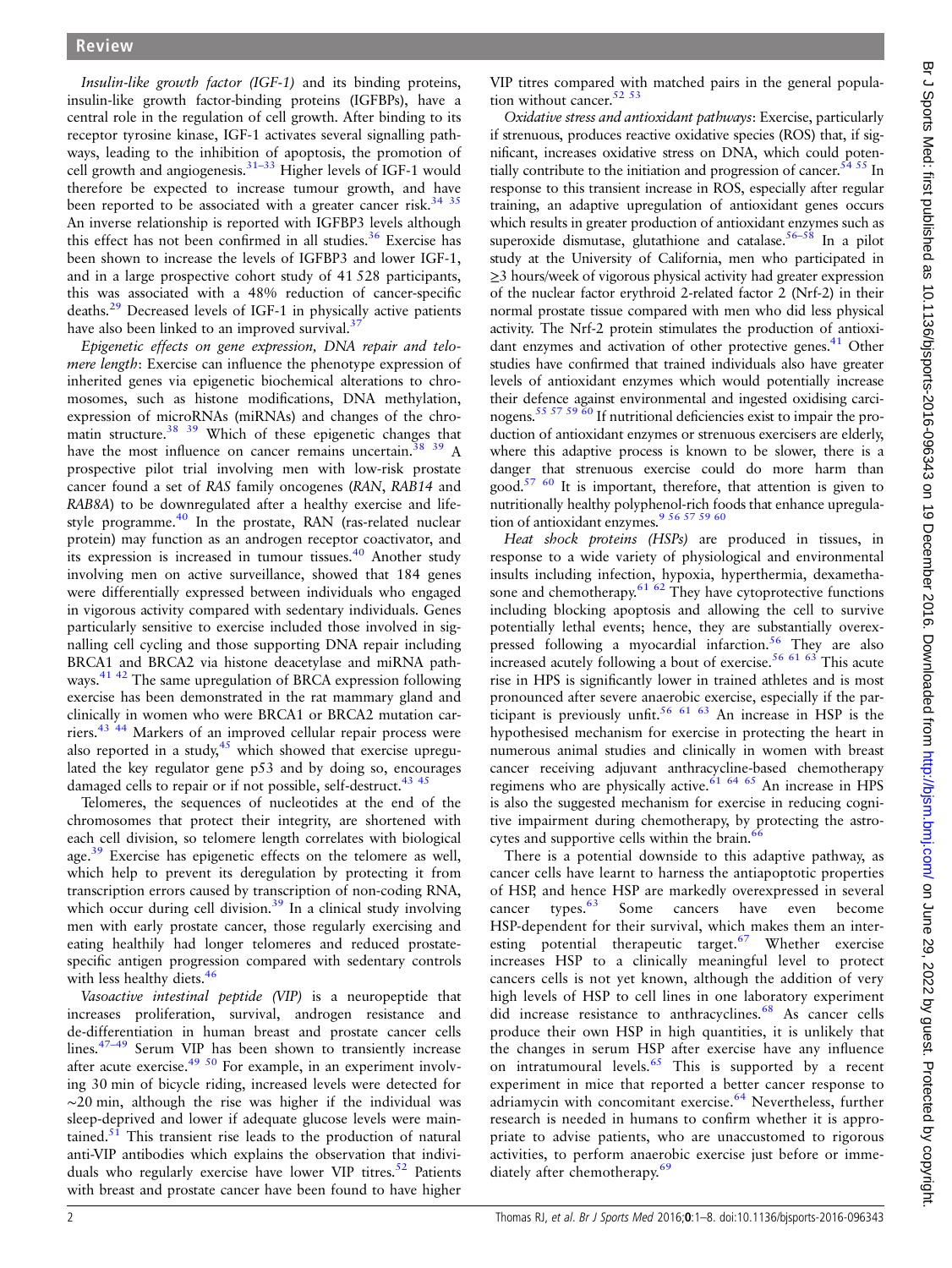Insulin-like growth factor (IGF-1) and its binding proteins, insulin-like growth factor-binding proteins (IGFBPs), have a central role in the regulation of cell growth. After binding to its receptor tyrosine kinase, IGF-1 activates several signalling pathways, leading to the inhibition of apoptosis, the promotion of cell growth and angiogenesis.<sup>[31](#page-5-0)–33</sup> Higher levels of IGF-1 would therefore be expected to increase tumour growth, and have been reported to be associated with a greater cancer risk.<sup>[34 35](#page-5-0)</sup> An inverse relationship is reported with IGFBP3 levels although this effect has not been confirmed in all studies. $36$  Exercise has been shown to increase the levels of IGFBP3 and lower IGF-1, and in a large prospective cohort study of 41 528 participants, this was associated with a 48% reduction of cancer-specific deaths.[29](#page-5-0) Decreased levels of IGF-1 in physically active patients have also been linked to an improved survival. $3^{\circ}$ 

Epigenetic effects on gene expression, DNA repair and telomere length: Exercise can influence the phenotype expression of inherited genes via epigenetic biochemical alterations to chromosomes, such as histone modifications, DNA methylation, expression of microRNAs (miRNAs) and changes of the chromatin structure.<sup>38</sup> <sup>39</sup> Which of these epigenetic changes that have the most influence on cancer remains uncertain.<sup>38</sup> 39 A prospective pilot trial involving men with low-risk prostate cancer found a set of RAS family oncogenes (RAN, RAB14 and RAB8A) to be downregulated after a healthy exercise and life-style programme.<sup>[40](#page-5-0)</sup> In the prostate, RAN (ras-related nuclear protein) may function as an androgen receptor coactivator, and its expression is increased in tumour tissues.<sup>[40](#page-5-0)</sup> Another study involving men on active surveillance, showed that 184 genes were differentially expressed between individuals who engaged in vigorous activity compared with sedentary individuals. Genes particularly sensitive to exercise included those involved in signalling cell cycling and those supporting DNA repair including BRCA1 and BRCA2 via histone deacetylase and miRNA pathways.[41 42](#page-5-0) The same upregulation of BRCA expression following exercise has been demonstrated in the rat mammary gland and clinically in women who were BRCA1 or BRCA2 mutation carriers.[43 44](#page-5-0) Markers of an improved cellular repair process were also reported in a study, $45$  which showed that exercise upregulated the key regulator gene p53 and by doing so, encourages damaged cells to repair or if not possible, self-destruct.<sup>43</sup> <sup>45</sup>

Telomeres, the sequences of nucleotides at the end of the chromosomes that protect their integrity, are shortened with each cell division, so telomere length correlates with biological age.<sup>[39](#page-5-0)</sup> Exercise has epigenetic effects on the telomere as well, which help to prevent its deregulation by protecting it from transcription errors caused by transcription of non-coding RNA, which occur during cell division.<sup>[39](#page-5-0)</sup> In a clinical study involving men with early prostate cancer, those regularly exercising and eating healthily had longer telomeres and reduced prostatespecific antigen progression compared with sedentary controls with less healthy diets.<sup>4</sup>

Vasoactive intestinal peptide (VIP) is a neuropeptide that increases proliferation, survival, androgen resistance and de-differentiation in human breast and prostate cancer cells lines.<sup>47–[49](#page-5-0)</sup> Serum VIP has been shown to transiently increase after acute exercise.<sup>[49 50](#page-5-0)</sup> For example, in an experiment involving 30 min of bicycle riding, increased levels were detected for ∼20 min, although the rise was higher if the individual was sleep-deprived and lower if adequate glucose levels were maintained. $51$  This transient rise leads to the production of natural anti-VIP antibodies which explains the observation that indivi-duals who regularly exercise have lower VIP titres.<sup>[52](#page-5-0)</sup> Patients with breast and prostate cancer have been found to have higher

VIP titres compared with matched pairs in the general population without cancer.<sup>52</sup> <sup>53</sup>

Oxidative stress and antioxidant pathways: Exercise, particularly if strenuous, produces reactive oxidative species (ROS) that, if significant, increases oxidative stress on DNA, which could potentially contribute to the initiation and progression of cancer.<sup>54 55</sup> In response to this transient increase in ROS, especially after regular training, an adaptive upregulation of antioxidant genes occurs which results in greater production of antioxidant enzymes such as superoxide dismutase, glutathione and catalase.<sup>[56](#page-5-0)–58</sup> In a pilot study at the University of California, men who participated in ≥3 hours/week of vigorous physical activity had greater expression of the nuclear factor erythroid 2-related factor 2 (Nrf-2) in their normal prostate tissue compared with men who did less physical activity. The Nrf-2 protein stimulates the production of antioxi-dant enzymes and activation of other protective genes.<sup>[41](#page-5-0)</sup> Other studies have confirmed that trained individuals also have greater levels of antioxidant enzymes which would potentially increase their defence against environmental and ingested oxidising carcinogens[.55 57 59 60](#page-5-0) If nutritional deficiencies exist to impair the production of antioxidant enzymes or strenuous exercisers are elderly, where this adaptive process is known to be slower, there is a danger that strenuous exercise could do more harm than good.<sup>57 60</sup> It is important, therefore, that attention is given to nutritionally healthy polyphenol-rich foods that enhance upregulation of antioxidant enzymes.<sup>9</sup> 56 57 59 60

Heat shock proteins (HSPs) are produced in tissues, in response to a wide variety of physiological and environmental insults including infection, hypoxia, hyperthermia, dexamethasone and chemotherapy. $61 62$  They have cytoprotective functions including blocking apoptosis and allowing the cell to survive potentially lethal events; hence, they are substantially overex-pressed following a myocardial infarction.<sup>[56](#page-5-0)</sup> They are also increased acutely following a bout of exercise.<sup>[56 61 63](#page-5-0)</sup> This acute rise in HPS is significantly lower in trained athletes and is most pronounced after severe anaerobic exercise, especially if the par-ticipant is previously unfit.<sup>[56 61 63](#page-5-0)</sup> An increase in HSP is the hypothesised mechanism for exercise in protecting the heart in numerous animal studies and clinically in women with breast cancer receiving adjuvant anthracycline-based chemotherapy regimens who are physically active.<sup>[61 64](#page-5-0) [65](#page-6-0)</sup> An increase in HPS is also the suggested mechanism for exercise in reducing cognitive impairment during chemotherapy, by protecting the astrocytes and supportive cells within the brain. $66$ 

There is a potential downside to this adaptive pathway, as cancer cells have learnt to harness the antiapoptotic properties of HSP, and hence HSP are markedly overexpressed in several cancer types. $\frac{63}{9}$  $\frac{63}{9}$  $\frac{63}{9}$  Some cancers have even become HSP-dependent for their survival, which makes them an interesting potential therapeutic target. $67$  Whether exercise increases HSP to a clinically meaningful level to protect cancers cells is not yet known, although the addition of very high levels of HSP to cell lines in one laboratory experiment did increase resistance to anthracyclines.<sup>[68](#page-6-0)</sup> As cancer cells produce their own HSP in high quantities, it is unlikely that the changes in serum HSP after exercise have any influence on intratumoural levels. $65$  This is supported by a recent experiment in mice that reported a better cancer response to adriamycin with concomitant exercise.<sup>[64](#page-5-0)</sup> Nevertheless, further research is needed in humans to confirm whether it is appropriate to advise patients, who are unaccustomed to rigorous activities, to perform anaerobic exercise just before or imme-diately after chemotherapy.<sup>[69](#page-6-0)</sup>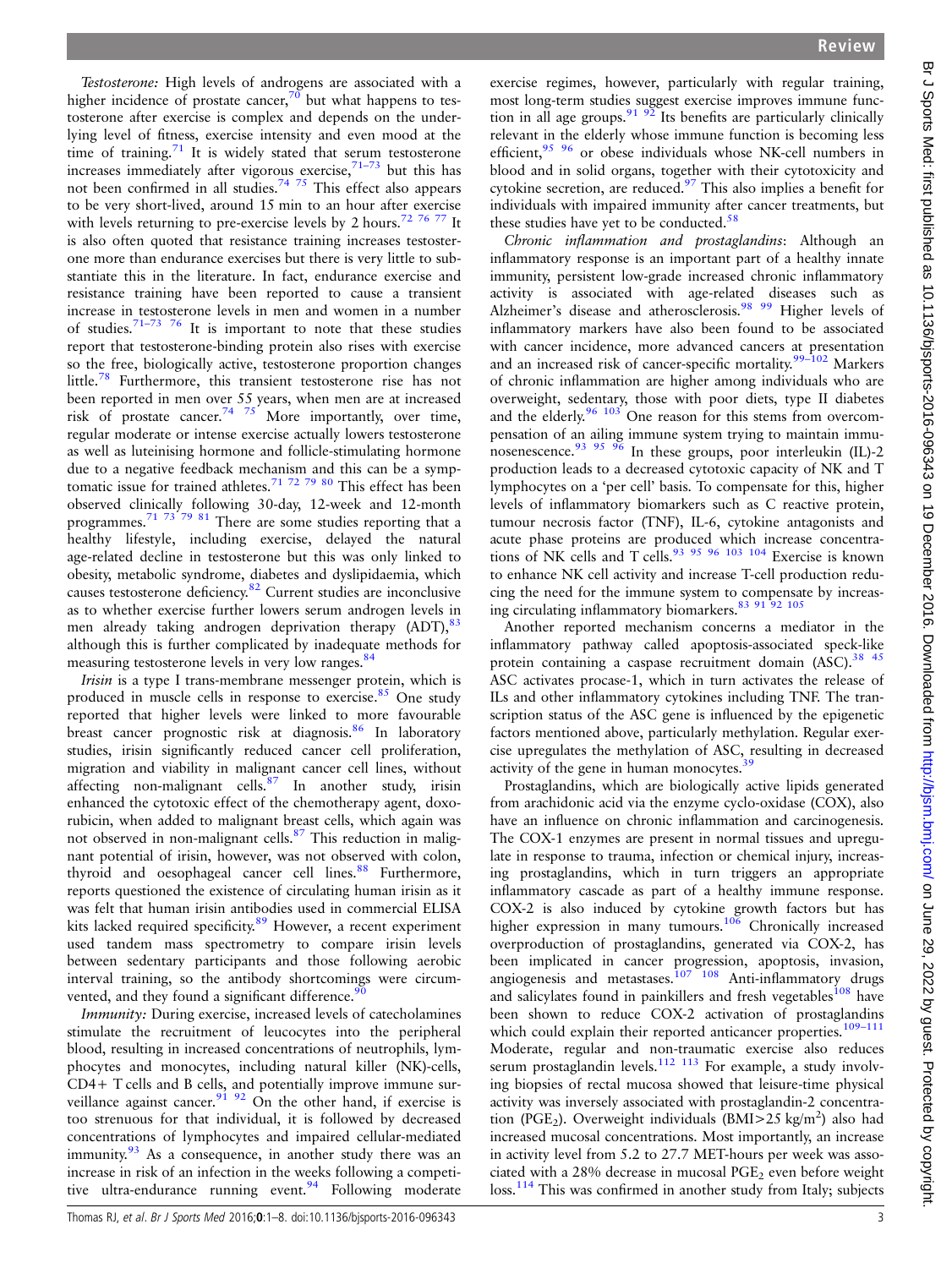Testosterone: High levels of androgens are associated with a higher incidence of prostate cancer,<sup>[70](#page-6-0)</sup> but what happens to testosterone after exercise is complex and depends on the underlying level of fitness, exercise intensity and even mood at the time of training. $71$  It is widely stated that serum testosterone increases immediately after vigorous exercise, $71-73$  $71-73$  but this has not been confirmed in all studies.<sup>[74 75](#page-6-0)</sup> This effect also appears to be very short-lived, around 15 min to an hour after exercise with levels returning to pre-exercise levels by 2 hours.<sup>72 76</sup> 77 It is also often quoted that resistance training increases testosterone more than endurance exercises but there is very little to substantiate this in the literature. In fact, endurance exercise and resistance training have been reported to cause a transient increase in testosterone levels in men and women in a number of studies.<sup>[71](#page-6-0)–73</sup> <sup>76</sup> It is important to note that these studies report that testosterone-binding protein also rises with exercise so the free, biologically active, testosterone proportion changes little.<sup>[78](#page-6-0)</sup> Furthermore, this transient testosterone rise has not been reported in men over 55 years, when men are at increased risk of prostate cancer.<sup>[74 75](#page-6-0)</sup> More importantly, over time, regular moderate or intense exercise actually lowers testosterone as well as luteinising hormone and follicle-stimulating hormone due to a negative feedback mechanism and this can be a symptomatic issue for trained athletes.<sup>71 72 79</sup>  $80$  This effect has been observed clinically following 30-day, 12-week and 12-month programmes.[71 73 79 81](#page-6-0) There are some studies reporting that a healthy lifestyle, including exercise, delayed the natural age-related decline in testosterone but this was only linked to obesity, metabolic syndrome, diabetes and dyslipidaemia, which causes testosterone deficiency.[82](#page-6-0) Current studies are inconclusive as to whether exercise further lowers serum androgen levels in men already taking androgen deprivation therapy  $(ADT)$ ,  $83$ although this is further complicated by inadequate methods for measuring testosterone levels in very low ranges.<sup>84</sup>

Irisin is a type I trans-membrane messenger protein, which is produced in muscle cells in response to exercise.<sup>[85](#page-6-0)</sup> One study reported that higher levels were linked to more favourable breast cancer prognostic risk at diagnosis.<sup>86</sup> In laboratory studies, irisin significantly reduced cancer cell proliferation, migration and viability in malignant cancer cell lines, without affecting non-malignant cells.<sup>[87](#page-6-0)</sup> In another study, irisin enhanced the cytotoxic effect of the chemotherapy agent, doxorubicin, when added to malignant breast cells, which again was not observed in non-malignant cells.<sup>[87](#page-6-0)</sup> This reduction in malignant potential of irisin, however, was not observed with colon, thyroid and oesophageal cancer cell lines.<sup>[88](#page-6-0)</sup> Furthermore, reports questioned the existence of circulating human irisin as it was felt that human irisin antibodies used in commercial ELISA kits lacked required specificity.<sup>[89](#page-6-0)</sup> However, a recent experiment used tandem mass spectrometry to compare irisin levels between sedentary participants and those following aerobic interval training, so the antibody shortcomings were circumvented, and they found a significant difference.<sup>9</sup>

Immunity: During exercise, increased levels of catecholamines stimulate the recruitment of leucocytes into the peripheral blood, resulting in increased concentrations of neutrophils, lymphocytes and monocytes, including natural killer (NK)-cells, CD4+ T cells and B cells, and potentially improve immune sur-veillance against cancer.<sup>[91 92](#page-6-0)</sup> On the other hand, if exercise is too strenuous for that individual, it is followed by decreased concentrations of lymphocytes and impaired cellular-mediated immunity.<sup>[93](#page-6-0)</sup> As a consequence, in another study there was an increase in risk of an infection in the weeks following a competi-tive ultra-endurance running event.<sup>[94](#page-6-0)</sup> Following moderate

exercise regimes, however, particularly with regular training, most long-term studies suggest exercise improves immune function in all age groups.  $91.92$  Its benefits are particularly clinically relevant in the elderly whose immune function is becoming less efficient,<sup>[95 96](#page-6-0)</sup> or obese individuals whose NK-cell numbers in blood and in solid organs, together with their cytotoxicity and cytokine secretion, are reduced.<sup>97</sup> This also implies a benefit for individuals with impaired immunity after cancer treatments, but these studies have yet to be conducted. $58$ 

Chronic inflammation and prostaglandins: Although an inflammatory response is an important part of a healthy innate immunity, persistent low-grade increased chronic inflammatory activity is associated with age-related diseases such as Alzheimer's disease and atherosclerosis.<sup>[98 99](#page-6-0)</sup> Higher levels of inflammatory markers have also been found to be associated with cancer incidence, more advanced cancers at presentation and an increased risk of cancer-specific mortality.<sup>99-[102](#page-6-0)</sup> Markers of chronic inflammation are higher among individuals who are overweight, sedentary, those with poor diets, type II diabetes and the elderly.<sup>96</sup> <sup>103</sup> One reason for this stems from overcompensation of an ailing immune system trying to maintain immu-nosenescence.<sup>[93 95 96](#page-6-0)</sup> In these groups, poor interleukin (IL)-2 production leads to a decreased cytotoxic capacity of NK and T lymphocytes on a 'per cell' basis. To compensate for this, higher levels of inflammatory biomarkers such as C reactive protein, tumour necrosis factor (TNF), IL-6, cytokine antagonists and acute phase proteins are produced which increase concentrations of NK cells and T cells.<sup>93 95 96</sup> 103 104 Exercise is known to enhance NK cell activity and increase T-cell production reducing the need for the immune system to compensate by increasing circulating inflammatory biomarkers.[83 91 92 105](#page-6-0)

Another reported mechanism concerns a mediator in the inflammatory pathway called apoptosis-associated speck-like protein containing a caspase recruitment domain (ASC).<sup>38 45</sup> ASC activates procase-1, which in turn activates the release of ILs and other inflammatory cytokines including TNF. The transcription status of the ASC gene is influenced by the epigenetic factors mentioned above, particularly methylation. Regular exercise upregulates the methylation of ASC, resulting in decreased activity of the gene in human monocytes.<sup>[39](#page-5-0)</sup>

Prostaglandins, which are biologically active lipids generated from arachidonic acid via the enzyme cyclo-oxidase (COX), also have an influence on chronic inflammation and carcinogenesis. The COX-1 enzymes are present in normal tissues and upregulate in response to trauma, infection or chemical injury, increasing prostaglandins, which in turn triggers an appropriate inflammatory cascade as part of a healthy immune response. COX-2 is also induced by cytokine growth factors but has higher expression in many tumours.<sup>[106](#page-6-0)</sup> Chronically increased overproduction of prostaglandins, generated via COX-2, has been implicated in cancer progression, apoptosis, invasion, angiogenesis and metastases.<sup>107</sup> <sup>108</sup> Anti-inflammatory drugs and salicylates found in painkillers and fresh vegetables<sup>[108](#page-6-0)</sup> have been shown to reduce COX-2 activation of prostaglandins which could explain their reported anticancer properties.<sup>[109](#page-6-0)-111</sup> Moderate, regular and non-traumatic exercise also reduces serum prostaglandin levels. $112$  113 For example, a study involving biopsies of rectal mucosa showed that leisure-time physical activity was inversely associated with prostaglandin-2 concentration (PGE<sub>2</sub>). Overweight individuals (BMI>25 kg/m<sup>2</sup>) also had increased mucosal concentrations. Most importantly, an increase in activity level from 5.2 to 27.7 MET-hours per week was associated with a 28% decrease in mucosal  $PGE<sub>2</sub>$  even before weight loss.<sup>[114](#page-6-0)</sup> This was confirmed in another study from Italy; subjects

Br J Sports Med: first published as 10.1136/bjsports-2016-096343 on 19 December 2016. Downloaded from http://bjsm.bmj.com/ on June 29, 2022 by guest. Protected by copyright Br J Sports Med: first published as 10.1136/bjsports-2016-096343 on 19 December 2016. Downloaded from <http://bjsm.bmj.com/> on June 29, 2022 by guest. Protected by copyright.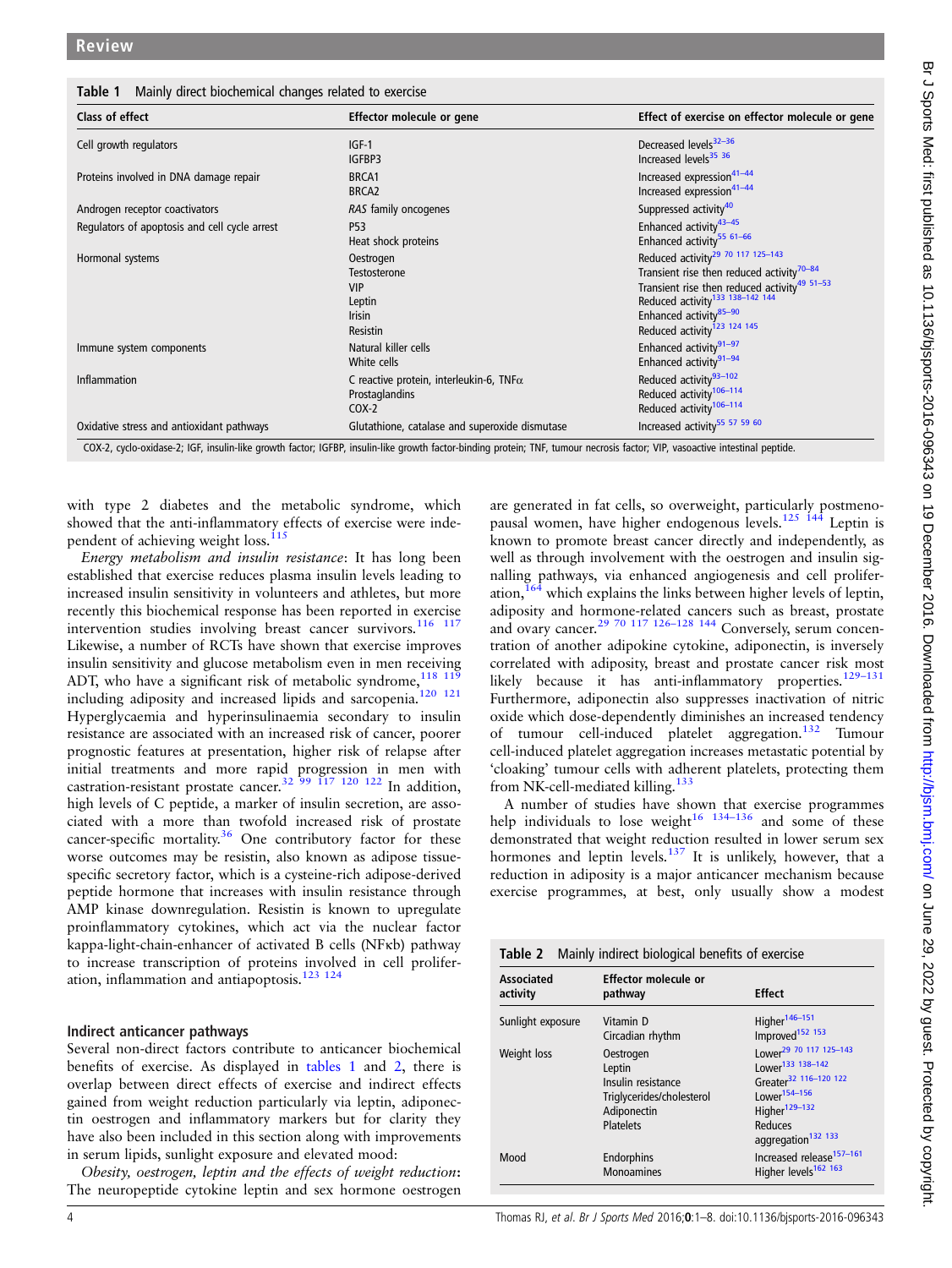Table 1 Mainly direct biochemical changes related to exercise

| Class of effect                               | Effector molecule or gene                                                             | Effect of exercise on effector molecule or gene                                                                                                                                                                                                                                                    |
|-----------------------------------------------|---------------------------------------------------------------------------------------|----------------------------------------------------------------------------------------------------------------------------------------------------------------------------------------------------------------------------------------------------------------------------------------------------|
| Cell growth regulators                        | $IGF-1$<br>IGFBP3                                                                     | Decreased levels <sup>32-36</sup><br>Increased levels <sup>35</sup> 36                                                                                                                                                                                                                             |
| Proteins involved in DNA damage repair        | BRCA1<br>BRCA <sub>2</sub>                                                            | Increased expression <sup>41-44</sup><br>Increased expression <sup>41-44</sup>                                                                                                                                                                                                                     |
| Androgen receptor coactivators                | RAS family oncogenes                                                                  | Suppressed activity <sup>40</sup>                                                                                                                                                                                                                                                                  |
| Regulators of apoptosis and cell cycle arrest | P53<br>Heat shock proteins                                                            | Enhanced activity <sup>43-45</sup><br>Enhanced activity <sup>55 61-66</sup>                                                                                                                                                                                                                        |
| Hormonal systems                              | Oestrogen<br>Testosterone<br><b>VIP</b><br>Leptin<br><b>Irisin</b><br><b>Resistin</b> | Reduced activity <sup>29</sup> 70 117 125-143<br>Transient rise then reduced activity <sup>70-84</sup><br>Transient rise then reduced activity <sup>49 51–53</sup><br>Reduced activity <sup>133 138–142 144</sup><br>Enhanced activity <sup>85-90</sup><br>Reduced activity <sup>123</sup> 124 145 |
| Immune system components                      | Natural killer cells<br>White cells                                                   | Enhanced activity <sup>91-97</sup><br>Enhanced activity <sup>91-94</sup>                                                                                                                                                                                                                           |
| Inflammation                                  | C reactive protein, interleukin-6, TNF $\alpha$<br>Prostaglandins<br>$COX-2$          | Reduced activity <sup>93-102</sup><br>Reduced activity <sup>106-114</sup><br>Reduced activity <sup>106-114</sup>                                                                                                                                                                                   |
| Oxidative stress and antioxidant pathways     | Glutathione, catalase and superoxide dismutase                                        | Increased activity <sup>55</sup> 57 59 60                                                                                                                                                                                                                                                          |

COX-2, cyclo-oxidase-2; IGF, insulin-like growth factor; IGFBP, insulin-like growth factor-binding protein; TNF, tumour necrosis factor; VIP, vasoactive intestinal peptide.

with type 2 diabetes and the metabolic syndrome, which showed that the anti-inflammatory effects of exercise were inde-pendent of achieving weight loss.<sup>[115](#page-6-0)</sup>

Energy metabolism and insulin resistance: It has long been established that exercise reduces plasma insulin levels leading to increased insulin sensitivity in volunteers and athletes, but more recently this biochemical response has been reported in exercise intervention studies involving breast cancer survivors.<sup>116</sup> <sup>117</sup> Likewise, a number of RCTs have shown that exercise improves insulin sensitivity and glucose metabolism even in men receiving ADT, who have a significant risk of metabolic syndrome,  $118$   $119$ including adiposity and increased lipids and sarcopenia[.120 121](#page-6-0) Hyperglycaemia and hyperinsulinaemia secondary to insulin resistance are associated with an increased risk of cancer, poorer prognostic features at presentation, higher risk of relapse after initial treatments and more rapid progression in men with castration-resistant prostate cancer.<sup>[32](#page-5-0) 99</sup> <sup>117</sup> <sup>120</sup> <sup>122</sup> In addition, high levels of C peptide, a marker of insulin secretion, are associated with a more than twofold increased risk of prostate cancer-specific mortality. $36$  One contributory factor for these worse outcomes may be resistin, also known as adipose tissuespecific secretory factor, which is a cysteine-rich adipose-derived peptide hormone that increases with insulin resistance through AMP kinase downregulation. Resistin is known to upregulate proinflammatory cytokines, which act via the nuclear factor kappa-light-chain-enhancer of activated B cells (NFκb) pathway to increase transcription of proteins involved in cell proliferation, inflammation and antiapoptosis.[123 124](#page-7-0)

#### Indirect anticancer pathways

Several non-direct factors contribute to anticancer biochemical benefits of exercise. As displayed in tables 1 and 2, there is overlap between direct effects of exercise and indirect effects gained from weight reduction particularly via leptin, adiponectin oestrogen and inflammatory markers but for clarity they have also been included in this section along with improvements in serum lipids, sunlight exposure and elevated mood:

Obesity, oestrogen, leptin and the effects of weight reduction: The neuropeptide cytokine leptin and sex hormone oestrogen are generated in fat cells, so overweight, particularly postmenopausal women, have higher endogenous levels.<sup>125</sup> <sup>144</sup> Leptin is known to promote breast cancer directly and independently, as well as through involvement with the oestrogen and insulin signalling pathways, via enhanced angiogenesis and cell proliferation[,164](#page-7-0) which explains the links between higher levels of leptin, adiposity and hormone-related cancers such as breast, prostate and ovary cancer.<sup>[29](#page-5-0) [70 117](#page-6-0) 126-[128 144](#page-7-0)</sup> Conversely, serum concentration of another adipokine cytokine, adiponectin, is inversely correlated with adiposity, breast and prostate cancer risk most likely because it has anti-inflammatory properties.<sup>[129](#page-7-0)-131</sup> Furthermore, adiponectin also suppresses inactivation of nitric oxide which dose-dependently diminishes an increased tendency of tumour cell-induced platelet aggregation[.132](#page-7-0) Tumour cell-induced platelet aggregation increases metastatic potential by 'cloaking' tumour cells with adherent platelets, protecting them from NK-cell-mediated killing.[133](#page-7-0)

A number of studies have shown that exercise programmes help individuals to lose weight<sup>[16](#page-5-0)</sup> <sup>134–[136](#page-7-0)</sup> and some of these demonstrated that weight reduction resulted in lower serum sex hormones and leptin levels.<sup>[137](#page-7-0)</sup> It is unlikely, however, that a reduction in adiposity is a major anticancer mechanism because exercise programmes, at best, only usually show a modest

| activity          |                           |                                           |
|-------------------|---------------------------|-------------------------------------------|
|                   | pathway                   | <b>Effect</b>                             |
| Sunlight exposure | Vitamin D                 | Higher <sup>146-151</sup>                 |
|                   | Circadian rhythm          | Improved <sup>152</sup> 153               |
| Weight loss       | Oestrogen                 | Lower <sup>29</sup> 70 117 125-143        |
|                   | Leptin                    | Lower <sup>133</sup> 138-142              |
|                   | Insulin resistance        | Greater <sup>32</sup> 116-120 122         |
|                   | Triglycerides/cholesterol | Lower <sup>154-156</sup>                  |
|                   | Adiponectin               | Higher <sup>129-132</sup>                 |
|                   | <b>Platelets</b>          | Reduces                                   |
|                   |                           | aggregation <sup>132</sup> <sup>133</sup> |
| Mood              | Endorphins                | Increased release <sup>157-161</sup>      |
|                   | <b>Monoamines</b>         | Higher levels <sup>162</sup> 163          |
|                   |                           |                                           |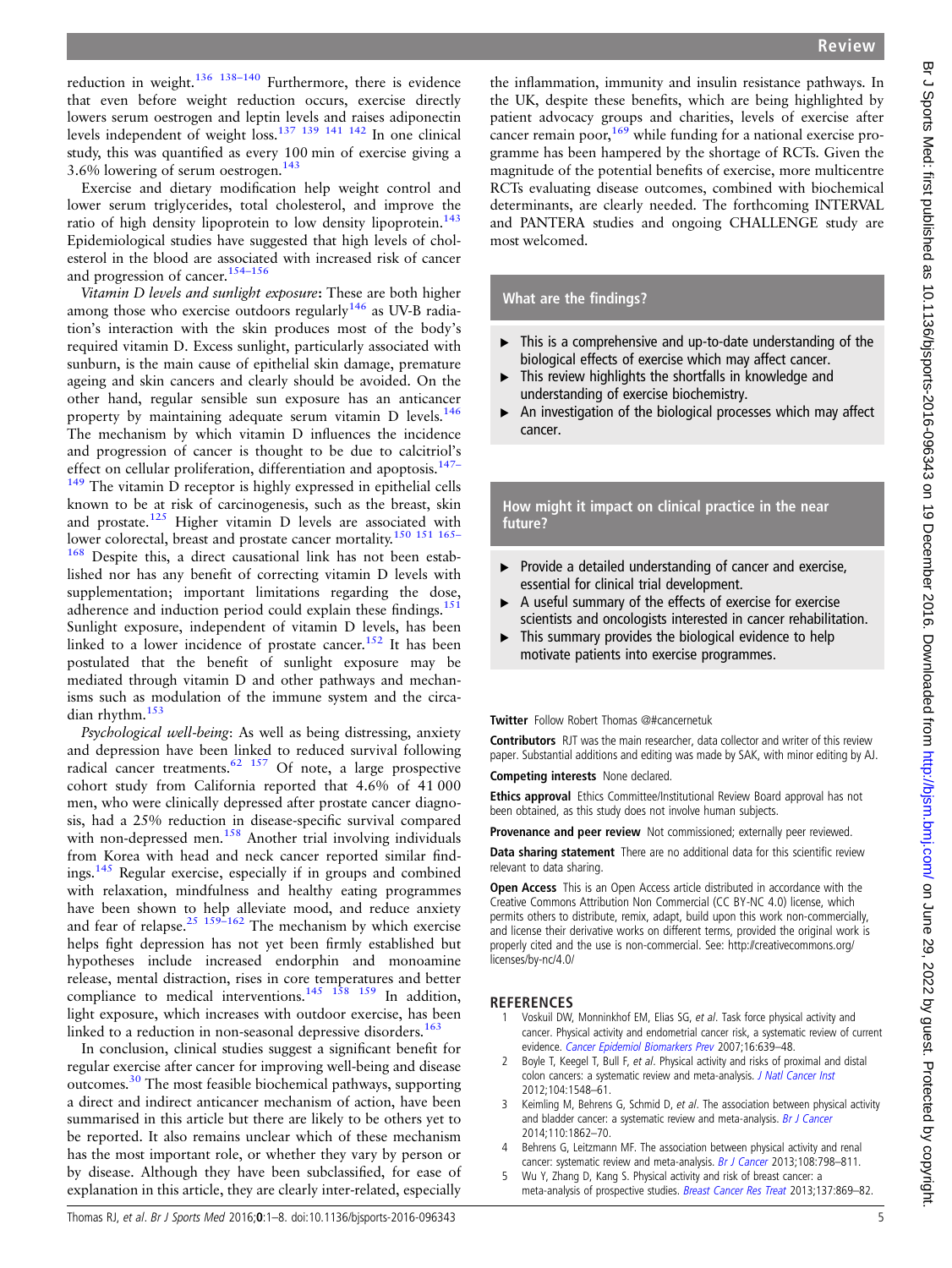<span id="page-4-0"></span>reduction in weight. $136$   $138-140$  Furthermore, there is evidence that even before weight reduction occurs, exercise directly lowers serum oestrogen and leptin levels and raises adiponectin levels independent of weight loss.[137 139 141 142](#page-7-0) In one clinical study, this was quantified as every 100 min of exercise giving a 3.6% lowering of serum oestrogen.<sup>[143](#page-7-0)</sup>

Exercise and dietary modification help weight control and lower serum triglycerides, total cholesterol, and improve the ratio of high density lipoprotein to low density lipoprotein.<sup>143</sup> Epidemiological studies have suggested that high levels of cholesterol in the blood are associated with increased risk of cancer and progression of cancer.154–[156](#page-7-0)

Vitamin D levels and sunlight exposure: These are both higher among those who exercise outdoors regularly $146$  as UV-B radiation's interaction with the skin produces most of the body's required vitamin D. Excess sunlight, particularly associated with sunburn, is the main cause of epithelial skin damage, premature ageing and skin cancers and clearly should be avoided. On the other hand, regular sensible sun exposure has an anticancer property by maintaining adequate serum vitamin D levels.<sup>146</sup> The mechanism by which vitamin D influences the incidence and progression of cancer is thought to be due to calcitriol's effect on cellular proliferation, differentiation and apoptosis.<sup>[147](#page-7-0)–</sup>  $149$  The vitamin D receptor is highly expressed in epithelial cells known to be at risk of carcinogenesis, such as the breast, skin and prostate.<sup>[125](#page-7-0)</sup> Higher vitamin D levels are associated with lower colorectal, breast and prostate cancer mortality.<sup>150</sup> <sup>151</sup> <sup>165</sup> [168](#page-7-0) Despite this, a direct causational link has not been established nor has any benefit of correcting vitamin D levels with supplementation; important limitations regarding the dose, adherence and induction period could explain these findings.<sup>15</sup> Sunlight exposure, independent of vitamin D levels, has been linked to a lower incidence of prostate cancer.<sup>[152](#page-7-0)</sup> It has been postulated that the benefit of sunlight exposure may be mediated through vitamin D and other pathways and mechanisms such as modulation of the immune system and the circa-dian rhythm.<sup>[153](#page-7-0)</sup>

Psychological well-being: As well as being distressing, anxiety and depression have been linked to reduced survival following radical cancer treatments.<sup>[62](#page-5-0) [157](#page-7-0)</sup> Of note, a large prospective cohort study from California reported that 4.6% of 41 000 men, who were clinically depressed after prostate cancer diagnosis, had a 25% reduction in disease-specific survival compared with non-depressed men.<sup>[158](#page-7-0)</sup> Another trial involving individuals from Korea with head and neck cancer reported similar findings.[145](#page-7-0) Regular exercise, especially if in groups and combined with relaxation, mindfulness and healthy eating programmes have been shown to help alleviate mood, and reduce anxiety and fear of relapse.<sup>[25](#page-5-0)</sup>  $159-162$  The mechanism by which exercise helps fight depression has not yet been firmly established but hypotheses include increased endorphin and monoamine release, mental distraction, rises in core temperatures and better compliance to medical interventions.<sup>145</sup> <sup>158</sup> <sup>159</sup> In addition, light exposure, which increases with outdoor exercise, has been linked to a reduction in non-seasonal depressive disorders.<sup>163</sup>

In conclusion, clinical studies suggest a significant benefit for regular exercise after cancer for improving well-being and disease outcomes.[30](#page-5-0) The most feasible biochemical pathways, supporting a direct and indirect anticancer mechanism of action, have been summarised in this article but there are likely to be others yet to be reported. It also remains unclear which of these mechanism has the most important role, or whether they vary by person or by disease. Although they have been subclassified, for ease of explanation in this article, they are clearly inter-related, especially

Review

the inflammation, immunity and insulin resistance pathways. In the UK, despite these benefits, which are being highlighted by patient advocacy groups and charities, levels of exercise after cancer remain poor,  $169$  while funding for a national exercise programme has been hampered by the shortage of RCTs. Given the magnitude of the potential benefits of exercise, more multicentre RCTs evaluating disease outcomes, combined with biochemical determinants, are clearly needed. The forthcoming INTERVAL and PANTERA studies and ongoing CHALLENGE study are most welcomed.

#### What are the findings?

- $\triangleright$  This is a comprehensive and up-to-date understanding of the biological effects of exercise which may affect cancer.
- ▶ This review highlights the shortfalls in knowledge and understanding of exercise biochemistry.
- ▶ An investigation of the biological processes which may affect cancer.

How might it impact on clinical practice in the near future?

- ▸ Provide a detailed understanding of cancer and exercise, essential for clinical trial development.
- ▸ A useful summary of the effects of exercise for exercise scientists and oncologists interested in cancer rehabilitation.
- ▶ This summary provides the biological evidence to help motivate patients into exercise programmes.

#### Twitter Follow Robert Thomas [@#cancernetuk](http://twitter.com/#cancernetuk)

Contributors RJT was the main researcher, data collector and writer of this review paper. Substantial additions and editing was made by SAK, with minor editing by AJ.

Competing interests None declared.

Ethics approval Ethics Committee/Institutional Review Board approval has not been obtained, as this study does not involve human subjects.

Provenance and peer review Not commissioned; externally peer reviewed.

Data sharing statement There are no additional data for this scientific review relevant to data sharing.

Open Access This is an Open Access article distributed in accordance with the Creative Commons Attribution Non Commercial (CC BY-NC 4.0) license, which permits others to distribute, remix, adapt, build upon this work non-commercially, and license their derivative works on different terms, provided the original work is properly cited and the use is non-commercial. See: [http://creativecommons.org/](http://creativecommons.org/licenses/by-nc/4.0/) [licenses/by-nc/4.0/](http://creativecommons.org/licenses/by-nc/4.0/)

#### REFERENCES

- 1 Voskuil DW, Monninkhof EM, Elias SG, et al. Task force physical activity and cancer. Physical activity and endometrial cancer risk, a systematic review of current evidence. [Cancer Epidemiol Biomarkers Prev](http://dx.doi.org/10.1158/1055-9965.EPI-06-0742) 2007;16:639–48.
- Boyle T, Keegel T, Bull F, et al. Physical activity and risks of proximal and distal colon cancers: a systematic review and meta-analysis. [J Natl Cancer Inst](http://dx.doi.org/10.1093/jnci/djs354) 2012;104:1548–61.
- 3 Keimling M, Behrens G, Schmid D, et al. The association between physical activity and bladder cancer: a systematic review and meta-analysis. [Br J Cancer](http://dx.doi.org/10.1038/bjc.2014.77) 2014;110:1862–70.
- 4 Behrens G, Leitzmann MF. The association between physical activity and renal cancer: systematic review and meta-analysis. [Br J Cancer](http://dx.doi.org/10.1038/bjc.2013.37) 2013;108:798-811.
- 5 Wu Y, Zhang D, Kang S. Physical activity and risk of breast cancer: a meta-analysis of prospective studies. [Breast Cancer Res Treat](http://dx.doi.org/10.1007/s10549-012-2396-7) 2013;137:869-82.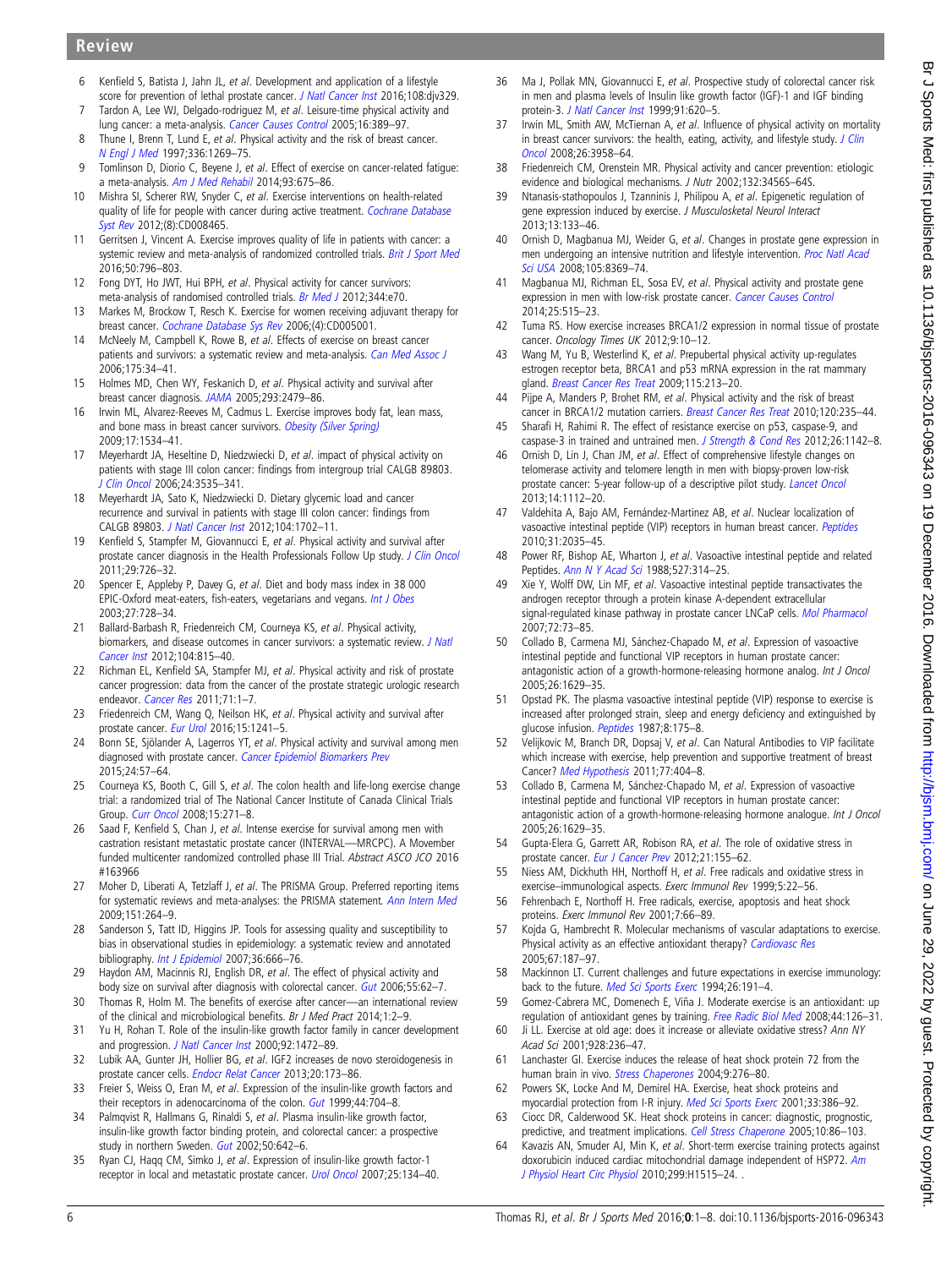# <span id="page-5-0"></span>Review

- 6 Kenfield S, Batista J, Jahn JL, et al. Development and application of a lifestyle score for prevention of lethal prostate cancer. [J Natl Cancer Inst](http://dx.doi.org/10.1093/jnci/djv329) 2016;108:djv329.
- Tardon A, Lee WJ, Delgado-rodriguez M, et al. Leisure-time physical activity and lung cancer: a meta-analysis. [Cancer Causes Control](http://dx.doi.org/10.1007/s10552-004-5026-9) 2005;16:389-97.
- 8 Thune I, Brenn T, Lund E, et al. Physical activity and the risk of breast cancer. [N Engl J Med](http://dx.doi.org/10.1056/NEJM199705013361801) 1997;336:1269–75.
- 9 Tomlinson D, Diorio C, Beyene J, et al. Effect of exercise on cancer-related fatigue: a meta-analysis. [Am J Med Rehabil](http://dx.doi.org/10.1097/PHM.0000000000000083) 2014;93:675–86.
- 10 Mishra SI, Scherer RW, Snyder C, et al. Exercise interventions on health-related quality of life for people with cancer during active treatment. [Cochrane Database](http://dx.doi.org/10.1002/14651858.CD008465.pub2) [Syst Rev](http://dx.doi.org/10.1002/14651858.CD008465.pub2) 2012:(8):CD008465.
- 11 Gerritsen J, Vincent A. Exercise improves quality of life in patients with cancer: a systemic review and meta-analysis of randomized controlled trials. [Brit J Sport Med](http://dx.doi.org/10.1136/bjsports-2015-094787) 2016;50:796–803.
- 12 Fong DYT, Ho JWT, Hui BPH, et al. Physical activity for cancer survivors: meta-analysis of randomised controlled trials. [Br Med J](http://dx.doi.org/10.1136/bmj.e70) 2012;344:e70.
- 13 Markes M, Brockow T, Resch K. Exercise for women receiving adjuvant therapy for breast cancer. [Cochrane Database Sys Rev](http://dx.doi.org/10.1002/14651858.CD005001.pub2) 2006;(4):CD005001.
- 14 McNeely M, Campbell K, Rowe B, et al. Effects of exercise on breast cancer patients and survivors: a systematic review and meta-analysis. [Can Med Assoc J](http://dx.doi.org/10.1503/cmaj.051073) 2006;175:34–41.
- 15 Holmes MD, Chen WY, Feskanich D, et al. Physical activity and survival after breast cancer diagnosis. [JAMA](http://dx.doi.org/10.1001/jama.293.20.2479) 2005;293:2479–86.
- 16 Irwin ML, Alvarez-Reeves M, Cadmus L. Exercise improves body fat, lean mass, and bone mass in breast cancer survivors. [Obesity \(Silver Spring\)](http://dx.doi.org/10.1038/oby.2009.18) 2009;17:1534–41.
- 17 Meyerhardt JA, Heseltine D, Niedzwiecki D, et al. impact of physical activity on patients with stage III colon cancer: findings from intergroup trial CALGB 89803. [J Clin Oncol](http://dx.doi.org/10.1200/JCO.2006.06.0863) 2006;24:3535–341.
- 18 Meyerhardt JA, Sato K, Niedzwiecki D. Dietary glycemic load and cancer recurrence and survival in patients with stage III colon cancer: findings from CALGB 89803. [J Natl Cancer Inst](http://dx.doi.org/10.1093/jnci/djs399) 2012;104:1702–11.
- 19 Kenfield S, Stampfer M, Giovannucci E, et al. Physical activity and survival after prostate cancer diagnosis in the Health Professionals Follow Up study. [J Clin Oncol](http://dx.doi.org/10.1200/JCO.2010.31.5226) 2011;29:726–32.
- 20 Spencer E, Appleby P, Davey G, et al. Diet and body mass index in 38 000 EPIC-Oxford meat-eaters, fish-eaters, vegetarians and vegans. [Int J Obes](http://dx.doi.org/10.1038/sj.ijo.0802300) 2003;27:728–34.
- 21 Ballard-Barbash R, Friedenreich CM, Courneya KS, et al. Physical activity, biomarkers, and disease outcomes in cancer survivors: a systematic review. [J Natl](http://dx.doi.org/10.1093/jnci/djs207) [Cancer Inst](http://dx.doi.org/10.1093/jnci/djs207) 2012;104:815–40.
- 22 Richman EL, Kenfield SA, Stampfer MJ, et al. Physical activity and risk of prostate cancer progression: data from the cancer of the prostate strategic urologic research endeavor. [Cancer Res](http://dx.doi.org/10.1158/0008-5472.CAN-10-3932) 2011;71:1-7.
- 23 Friedenreich CM, Wang Q, Neilson HK, et al. Physical activity and survival after prostate cancer. [Eur Urol](http://dx.doi.org/10.1016/j.eururo.2015.12.032) 2016;15:1241–5.
- 24 Bonn SE, Sjölander A, Lagerros YT, et al. Physical activity and survival among men diagnosed with prostate cancer. [Cancer Epidemiol Biomarkers Prev](http://dx.doi.org/10.1158/1055-9965.EPI-14-0707) 2015;24:57–64.
- 25 Courneya KS, Booth C, Gill S, et al. The colon health and life-long exercise change trial: a randomized trial of The National Cancer Institute of Canada Clinical Trials Group. [Curr Oncol](http://dx.doi.org/10.3747/co.v15i6.378) 2008;15:271–8.
- 26 Saad F, Kenfield S, Chan J, et al. Intense exercise for survival among men with castration resistant metastatic prostate cancer (INTERVAL—MRCPC). A Movember funded multicenter randomized controlled phase III Trial. Abstract ASCO JCO 2016 #163966
- 27 Moher D, Liberati A, Tetzlaff J, et al. The PRISMA Group. Preferred reporting items for systematic reviews and meta-analyses: the PRISMA statement[. Ann Intern Med](http://dx.doi.org/10.7326/0003-4819-151-4-200908180-00135) 2009;151:264–9.
- 28 Sanderson S, Tatt ID, Higgins JP. Tools for assessing quality and susceptibility to bias in observational studies in epidemiology: a systematic review and annotated bibliography. *[Int J Epidemiol](http://dx.doi.org/10.1093/ije/dym018)* 2007;36:666-76.
- 29 Haydon AM, Macinnis RJ, English DR, et al. The effect of physical activity and body size on survival after diagnosis with colorectal cancer. [Gut](http://dx.doi.org/10.1136/gut.2005.068189) 2006;55:62-7.
- 30 Thomas R, Holm M. The benefits of exercise after cancer—an international review of the clinical and microbiological benefits. Br J Med Pract 2014;1:2–9.
- 31 Yu H, Rohan T. Role of the insulin-like growth factor family in cancer development and progression. [J Natl Cancer Inst](http://dx.doi.org/10.1093/jnci/92.18.1472) 2000;92:1472-89.
- 32 Lubik AA, Gunter JH, Hollier BG, et al. IGF2 increases de novo steroidogenesis in prostate cancer cells. [Endocr Relat Cancer](http://dx.doi.org/10.1530/ERC-12-0250) 2013;20:173–86.
- 33 Freier S, Weiss O, Eran M, et al. Expression of the insulin-like growth factors and their receptors in adenocarcinoma of the colon. [Gut](http://dx.doi.org/10.1136/gut.44.5.704) 1999;44:704-8.
- 34 Palmqvist R, Hallmans G, Rinaldi S, et al. Plasma insulin-like growth factor, insulin-like growth factor binding protein, and colorectal cancer: a prospective study in northern Sweden. [Gut](http://dx.doi.org/10.1136/gut.50.5.642) 2002;50:642-6.
- 35 Ryan CJ, Haqq CM, Simko J, et al. Expression of insulin-like growth factor-1 receptor in local and metastatic prostate cancer. [Urol Oncol](http://dx.doi.org/10.1016/j.urolonc.2006.07.019) 2007;25:134-40.
- 36 Ma J, Pollak MN, Giovannucci E, et al. Prospective study of colorectal cancer risk in men and plasma levels of Insulin like growth factor (IGF)-1 and IGF binding protein-3. [J Natl Cancer Inst](http://dx.doi.org/10.1093/jnci/91.7.620) 1999;91:620–5.
- 37 Irwin ML, Smith AW, McTiernan A, et al. Influence of physical activity on mortality in breast cancer survivors: the health, eating, activity, and lifestyle study.  $J$  Clin [Oncol](http://dx.doi.org/10.1200/JCO.2007.15.9822) 2008;26:3958–64.
- 38 Friedenreich CM, Orenstein MR. Physical activity and cancer prevention: etiologic evidence and biological mechanisms. J Nutr 2002:132:3456S-64S.
- 39 Ntanasis-stathopoulos J, Tzanninis J, Philipou A, et al. Epigenetic regulation of gene expression induced by exercise. J Musculosketal Neurol Interact 2013;13:133–46.
- 40 Ornish D, Magbanua MJ, Weider G, et al. Changes in prostate gene expression in men undergoing an intensive nutrition and lifestyle intervention. [Proc Natl Acad](http://dx.doi.org/10.1073/pnas.0803080105) [Sci USA](http://dx.doi.org/10.1073/pnas.0803080105) 2008;105:8369–74.
- 41 Magbanua MJ, Richman EL, Sosa EV, et al. Physical activity and prostate gene expression in men with low-risk prostate cancer. [Cancer Causes Control](http://dx.doi.org/10.1007/s10552-014-0354-x) 2014;25:515–23.
- 42 Tuma RS. How exercise increases BRCA1/2 expression in normal tissue of prostate cancer. Oncology Times UK 2012;9:10-12.
- 43 Wang M, Yu B, Westerlind K, et al. Prepubertal physical activity up-regulates estrogen receptor beta, BRCA1 and p53 mRNA expression in the rat mammary gland. [Breast Cancer Res Treat](http://dx.doi.org/10.1007/s10549-008-0062-x) 2009;115:213–20.
- 44 Pijpe A, Manders P, Brohet RM, et al. Physical activity and the risk of breast cancer in BRCA1/2 mutation carriers. [Breast Cancer Res Treat](http://dx.doi.org/10.1007/s10549-009-0476-0) 2010;120:235-44.
- 45 Sharafi H, Rahimi R. The effect of resistance exercise on p53, caspase-9, and caspase-3 in trained and untrained men. *[J Strength & Cond Res](http://dx.doi.org/10.1519/JSC.0b013e31822e58e5)* 2012;26:1142–8.
- 46 Ornish D, Lin J, Chan JM, et al. Effect of comprehensive lifestyle changes on telomerase activity and telomere length in men with biopsy-proven low-risk prostate cancer: 5-year follow-up of a descriptive pilot study. [Lancet Oncol](http://dx.doi.org/10.1016/S1470-2045(13)70366-8) 2013;14:1112–20.
- 47 Valdehita A, Bajo AM, Fernández-Martinez AB, et al. Nuclear localization of vasoactive intestinal peptide (VIP) receptors in human breast cancer. [Peptides](http://dx.doi.org/10.1016/j.peptides.2010.07.024) 2010;31:2035–45.
- 48 Power RF, Bishop AE, Wharton J, et al. Vasoactive intestinal peptide and related Peptides. [Ann N Y Acad Sci](http://dx.doi.org/10.1111/j.1749-6632.1988.tb26989.x) 1988;527:314–25.
- 49 Xie Y, Wolff DW, Lin MF, et al. Vasoactive intestinal peptide transactivates the androgen receptor through a protein kinase A-dependent extracellular signal-regulated kinase pathway in prostate cancer LNCaP cells. [Mol Pharmacol](http://dx.doi.org/10.1124/mol.107.033894) 2007;72:73–85.
- 50 Collado B, Carmena MJ, Sánchez-Chapado M, et al. Expression of vasoactive intestinal peptide and functional VIP receptors in human prostate cancer: antagonistic action of a growth-hormone-releasing hormone analog. Int J Oncol 2005;26:1629–35.
- 51 Opstad PK. The plasma vasoactive intestinal peptide (VIP) response to exercise is increased after prolonged strain, sleep and energy deficiency and extinguished by glucose infusion. [Peptides](http://dx.doi.org/10.1016/0196-9781(87)90183-5) 1987;8:175-8.
- 52 Velijkovic M, Branch DR, Dopsaj V, et al. Can Natural Antibodies to VIP facilitate which increase with exercise, help prevention and supportive treatment of breast Cancer? [Med Hypothesis](http://dx.doi.org/10.1016/j.mehy.2011.05.030) 2011;77:404-8.
- 53 Collado B, Carmena M, Sánchez-Chapado M, et al. Expression of vasoactive intestinal peptide and functional VIP receptors in human prostate cancer: antagonistic action of a growth-hormone-releasing hormone analogue. Int J Oncol 2005;26:1629–35.
- 54 Gupta-Elera G, Garrett AR, Robison RA, et al. The role of oxidative stress in prostate cancer. [Eur J Cancer Prev](http://dx.doi.org/10.1097/CEJ.0b013e32834a8002) 2012;21:155-62.
- 55 Niess AM, Dickhuth HH, Northoff H, et al. Free radicals and oxidative stress in exercise–immunological aspects. Exerc Immunol Rev 1999;5:22–56.
- 56 Fehrenbach E, Northoff H. Free radicals, exercise, apoptosis and heat shock proteins. Exerc Immunol Rev 2001;7:66–89.
- 57 Kojda G, Hambrecht R. Molecular mechanisms of vascular adaptations to exercise. Physical activity as an effective antioxidant therapy? [Cardiovasc Res](http://dx.doi.org/10.1016/j.cardiores.2005.04.032) 2005;67:187–97.
- 58 Mackinnon LT. Current challenges and future expectations in exercise immunology: back to the future. [Med Sci Sports Exerc](http://dx.doi.org/10.1249/00005768-199402000-00009) 1994;26:191-4.
- 59 Gomez-Cabrera MC, Domenech E, Viña J. Moderate exercise is an antioxidant: up regulation of antioxidant genes by training. [Free Radic Biol Med](http://dx.doi.org/10.1016/j.freeradbiomed.2007.02.001) 2008;44:126-31.
- 60 Ji LL. Exercise at old age: does it increase or alleviate oxidative stress? Ann NY Acad Sci 2001;928:236–47.
- 61 Lanchaster GI. Exercise induces the release of heat shock protein 72 from the human brain in vivo. [Stress Chaperones](http://dx.doi.org/10.1379/CSC-18R.1) 2004;9:276-80.
- 62 Powers SK, Locke And M, Demirel HA. Exercise, heat shock proteins and myocardial protection from I-R injury. [Med Sci Sports Exerc](http://dx.doi.org/10.1097/00005768-200103000-00009) 2001;33:386-92.
- 63 Ciocc DR, Calderwood SK. Heat shock proteins in cancer: diagnostic, prognostic, predictive, and treatment implications. [Cell Stress Chaperone](http://dx.doi.org/10.1379/CSC-99r.1) 2005;10:86-103.
- 64 Kavazis AN, Smuder AJ, Min K, et al. Short-term exercise training protects against doxorubicin induced cardiac mitochondrial damage independent of HSP72. [Am](http://dx.doi.org/10.1152/ajpheart.00585.2010) [J Physiol Heart Circ Physiol](http://dx.doi.org/10.1152/ajpheart.00585.2010) 2010;299:H1515-24.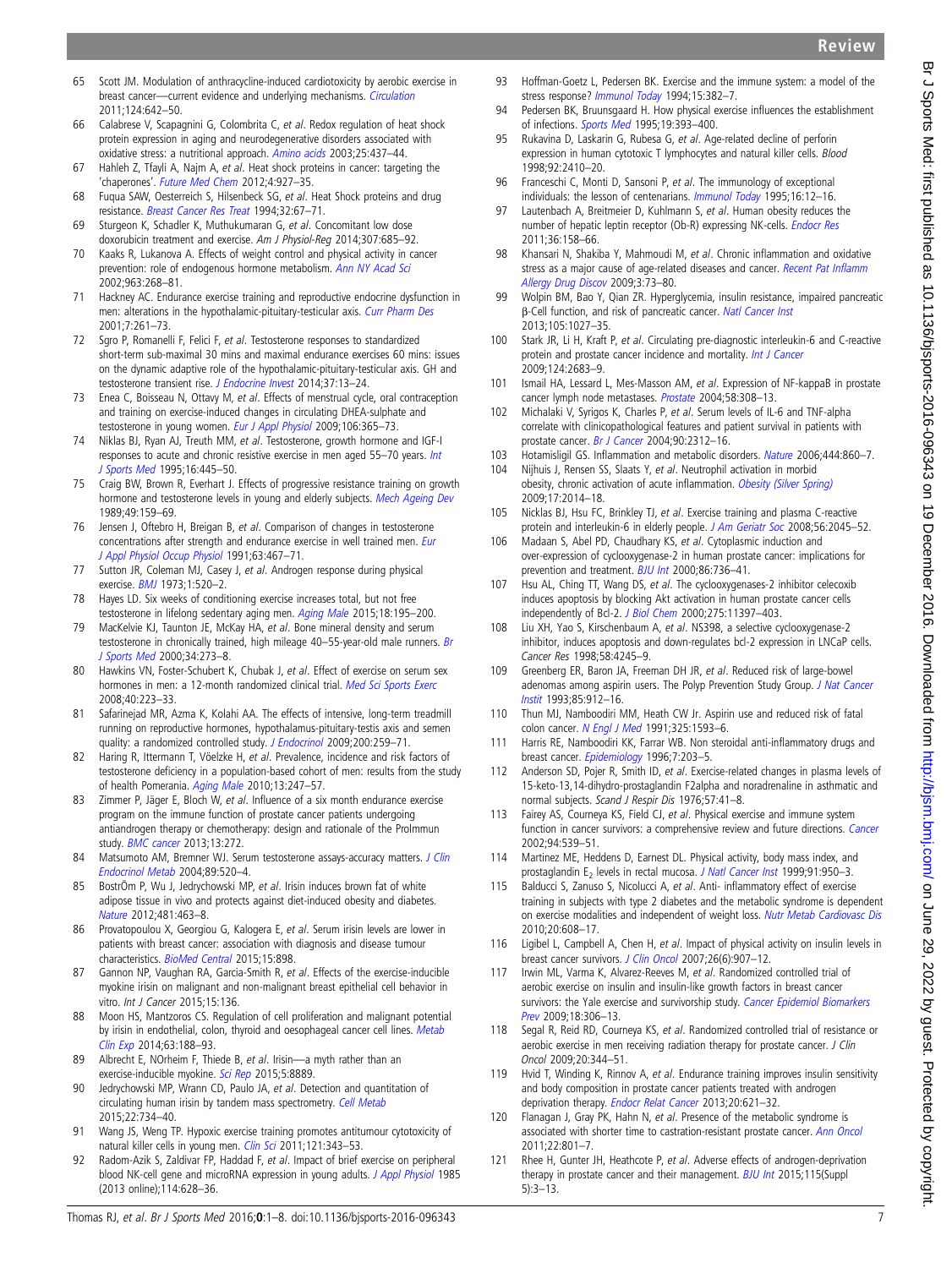Review

- <span id="page-6-0"></span>65 Scott JM. Modulation of anthracycline-induced cardiotoxicity by aerobic exercise in breast cancer—current evidence and underlying mechanisms. [Circulation](http://dx.doi.org/10.1161/CIRCULATIONAHA.111.021774)
- 2011;124:642–50. 66 Calabrese V, Scapagnini G, Colombrita C, et al. Redox regulation of heat shock protein expression in aging and neurodegenerative disorders associated with oxidative stress: a nutritional approach. [Amino acids](http://dx.doi.org/10.1007/s00726-003-0048-2) 2003;25:437-44.
- 67 Hahleh Z, Tfayli A, Najm A, et al. Heat shock proteins in cancer: targeting the 'chaperones'. [Future Med Chem](http://dx.doi.org/10.4155/fmc.12.50) 2012;4:927–35.
- 68 Fuqua SAW, Oesterreich S, Hilsenbeck SG, et al. Heat Shock proteins and drug resistance. [Breast Cancer Res Treat](http://dx.doi.org/10.1007/BF00666207) 1994;32:67–71.
- 69 Sturgeon K, Schadler K, Muthukumaran G, et al. Concomitant low dose doxorubicin treatment and exercise. Am J Physiol-Reg 2014;307:685–92.
- 70 Kaaks R, Lukanova A. Effects of weight control and physical activity in cancer prevention: role of endogenous hormone metabolism. [Ann NY Acad Sci](http://dx.doi.org/10.1111/j.1749-6632.2002.tb04118.x) 2002;963:268–81.
- 71 Hackney AC. Endurance exercise training and reproductive endocrine dysfunction in men: alterations in the hypothalamic-pituitary-testicular axis. [Curr Pharm Des](http://dx.doi.org/10.2174/1381612013398103) 2001;7:261–73.
- 72 Sgro P, Romanelli F, Felici F, et al. Testosterone responses to standardized short-term sub-maximal 30 mins and maximal endurance exercises 60 mins: issues on the dynamic adaptive role of the hypothalamic-pituitary-testicular axis. GH and testosterone transient rise. [J Endocrine Invest](http://dx.doi.org/10.1007/s40618-013-0006-0) 2014;37:13–24.
- 73 Enea C, Boisseau N, Ottavy M, et al. Effects of menstrual cycle, oral contraception and training on exercise-induced changes in circulating DHEA-sulphate and testosterone in young women. [Eur J Appl Physiol](http://dx.doi.org/10.1007/s00421-009-1017-6) 2009;106:365-73.
- 74 Niklas BJ, Ryan AJ, Treuth MM, et al. Testosterone, growth hormone and IGF-I responses to acute and chronic resistive exercise in men aged 55-70 years. [Int](http://dx.doi.org/10.1055/s-2007-973035) [J Sports Med](http://dx.doi.org/10.1055/s-2007-973035) 1995;16:445–50.
- 75 Craig BW, Brown R, Everhart J. Effects of progressive resistance training on growth hormone and testosterone levels in young and elderly subjects. [Mech Ageing Dev](http://dx.doi.org/10.1016/0047-6374(89)90099-7) 1989;49:159–69.
- 76 Jensen J, Oftebro H, Breigan B, et al. Comparison of changes in testosterone concentrations after strength and endurance exercise in well trained men. [Eur](http://dx.doi.org/10.1007/BF00868080) [J Appl Physiol Occup Physiol](http://dx.doi.org/10.1007/BF00868080) 1991;63:467-71.
- 77 Sutton JR, Coleman MJ, Casey J, et al. Androgen response during physical exercise. **[BMJ](http://dx.doi.org/10.1136/bmj.1.5852.520)** 1973:1:520-2.
- 78 Hayes LD. Six weeks of conditioning exercise increases total, but not free testosterone in lifelong sedentary aging men. [Aging Male](http://dx.doi.org/10.3109/13685538.2015.1046123) 2015;18:195-200.
- 79 MacKelvie KJ, Taunton JE, McKay HA, et al. Bone mineral density and serum testosterone in chronically trained, high mileage 40-55-year-old male runners. [Br](http://dx.doi.org/10.1136/bjsm.34.4.273) [J Sports Med](http://dx.doi.org/10.1136/bjsm.34.4.273) 2000;34:273–8.
- 80 Hawkins VN, Foster-Schubert K, Chubak J, et al. Effect of exercise on serum sex hormones in men: a 12-month randomized clinical trial. [Med Sci Sports Exerc](http://dx.doi.org/10.1249/mss.0b013e31815bbba9) 2008;40:223–33.
- 81 Safarinejad MR, Azma K, Kolahi AA. The effects of intensive, long-term treadmill running on reproductive hormones, hypothalamus-pituitary-testis axis and semen quality: a randomized controlled study. [J Endocrinol](http://dx.doi.org/10.1677/JOE-08-0477) 2009;200:259-71.
- 82 Haring R, Ittermann T, Vöelzke H, et al. Prevalence, incidence and risk factors of testosterone deficiency in a population-based cohort of men: results from the study of health Pomerania. [Aging Male](http://dx.doi.org/10.3109/13685538.2010.487553) 2010;13:247–57.
- 83 Zimmer P, Jäger E, Bloch W, et al. Influence of a six month endurance exercise program on the immune function of prostate cancer patients undergoing antiandrogen therapy or chemotherapy: design and rationale of the ProImmun study. [BMC cancer](http://dx.doi.org/10.1186/1471-2407-13-272) 2013;13:272.
- 84 Matsumoto AM, Bremner WJ. Serum testosterone assays-accuracy matters. [J Clin](http://dx.doi.org/10.1210/jc.2003-032175) [Endocrinol Metab](http://dx.doi.org/10.1210/jc.2003-032175) 2004;89:520–4.
- 85 BostrÖm P, Wu J, Jedrychowski MP, et al. Irisin induces brown fat of white adipose tissue in vivo and protects against diet-induced obesity and diabetes. [Nature](http://dx.doi.org/10.1038/nature10777) 2012;481:463–8.
- 86 Provatopoulou X, Georgiou G, Kalogera E, et al. Serum irisin levels are lower in patients with breast cancer: association with diagnosis and disease tumour characteristics. [BioMed Central](http://dx.doi.org/10.1186/s12889-015-2169-4) 2015;15:898.
- 87 Gannon NP, Vaughan RA, Garcia-Smith R, et al. Effects of the exercise-inducible myokine irisin on malignant and non-malignant breast epithelial cell behavior in vitro. Int J Cancer 2015;15:136.
- 88 Moon HS, Mantzoros CS. Regulation of cell proliferation and malignant potential by irisin in endothelial, colon, thyroid and oesophageal cancer cell lines. [Metab](http://dx.doi.org/10.1016/j.metabol.2013.10.005) [Clin Exp](http://dx.doi.org/10.1016/j.metabol.2013.10.005) 2014;63:188–93.
- 89 Albrecht E, NOrheim F, Thiede B, et al. Irisin-a myth rather than an exercise-inducible myokine. [Sci Rep](http://dx.doi.org/10.1038/srep08889) 2015;5:8889.
- 90 Jedrychowski MP, Wrann CD, Paulo JA, et al. Detection and quantitation of circulating human irisin by tandem mass spectrometry. [Cell Metab](http://dx.doi.org/10.1016/j.cmet.2015.08.001) 2015;22:734–40.
- 91 Wang JS, Weng TP. Hypoxic exercise training promotes antitumour cytotoxicity of natural killer cells in young men. [Clin Sci](http://dx.doi.org/10.1042/CS20110032) 2011;121:343-53.
- 92 Radom-Azik S, Zaldivar FP, Haddad F, et al. Impact of brief exercise on peripheral blood NK-cell gene and microRNA expression in young adults. [J Appl Physiol](http://dx.doi.org/10.1152/japplphysiol.01341.2012) 1985 (2013 online);114:628–36.
- 93 Hoffman-Goetz L, Pedersen BK. Exercise and the immune system: a model of the stress response? [Immunol Today](http://dx.doi.org/10.1016/0167-5699(94)90177-5) 1994;15:382-7.
- 94 Pedersen BK, Bruunsgaard H. How physical exercise influences the establishment of infections. [Sports Med](http://dx.doi.org/10.2165/00007256-199519060-00003) 1995;19:393-400.
- 95 Rukavina D, Laskarin G, Rubesa G, et al. Age-related decline of perforin expression in human cytotoxic T lymphocytes and natural killer cells. Blood 1998;92:2410–20.
- 96 Franceschi C, Monti D, Sansoni P, et al. The immunology of exceptional individuals: the lesson of centenarians. [Immunol Today](http://dx.doi.org/10.1016/0167-5699(95)80064-6) 1995;16:12-16.
- 97 Lautenbach A, Breitmeier D, Kuhlmann S, et al. Human obesity reduces the number of hepatic leptin receptor (Ob-R) expressing NK-cells. [Endocr Res](http://dx.doi.org/10.3109/07435800.2011.580442) 2011;36:158–66.
- 98 Khansari N, Shakiba Y, Mahmoudi M, et al. Chronic inflammation and oxidative stress as a major cause of age-related diseases and cancer. [Recent Pat In](http://dx.doi.org/10.2174/187221309787158371)flamm [Allergy Drug Discov](http://dx.doi.org/10.2174/187221309787158371) 2009;3:73–80.
- 99 Wolpin BM, Bao Y, Qian ZR. Hyperglycemia, insulin resistance, impaired pancreatic β-Cell function, and risk of pancreatic cancer. [Natl Cancer Inst](http://dx.doi.org/10.1093/jnci/djt123) 2013;105:1027–35.
- 100 Stark JR, Li H, Kraft P, et al. Circulating pre-diagnostic interleukin-6 and C-reactive protein and prostate cancer incidence and mortality. [Int J Cancer](http://dx.doi.org/10.1002/ijc.24241) 2009;124:2683–9.
- 101 Ismail HA, Lessard L, Mes-Masson AM, et al. Expression of NF-kappaB in prostate cancer lymph node metastases. [Prostate](http://dx.doi.org/10.1002/pros.10335) 2004;58:308-13.
- 102 Michalaki V, Syrigos K, Charles P, et al. Serum levels of IL-6 and TNF-alpha correlate with clinicopathological features and patient survival in patients with prostate cancer. [Br J Cancer](http://dx.doi.org/10.1038/sj.bjc.6601814) 2004;90:2312–16.
- 103 Hotamisligil GS. Inflammation and metabolic disorders. [Nature](http://dx.doi.org/10.1038/nature05485) 2006;444:860-7.<br>104 Niihuis J. Rensen SS. Slaats Y. et al. Neutrophil activation in morbid
- Nijhuis J, Rensen SS, Slaats Y, et al. Neutrophil activation in morbid obesity, chronic activation of acute inflammation. [Obesity \(Silver Spring\)](http://dx.doi.org/10.1038/oby.2009.113) 2009;17:2014–18.
- 105 Nicklas BJ, Hsu FC, Brinkley TJ, et al. Exercise training and plasma C-reactive protein and interleukin-6 in elderly people. [J Am Geriatr Soc](http://dx.doi.org/10.1111/j.1532-5415.2008.01994.x) 2008;56:2045-52.
- 106 Madaan S, Abel PD, Chaudhary KS, et al. Cytoplasmic induction and over-expression of cyclooxygenase-2 in human prostate cancer: implications for prevention and treatment. **[BJU Int](http://dx.doi.org/10.1046/j.1464-410x.2000.00867.x)** 2000;86:736-41.
- 107 Hsu AL, Ching TT, Wang DS, et al. The cyclooxygenases-2 inhibitor celecoxib induces apoptosis by blocking Akt activation in human prostate cancer cells independently of Bcl-2. [J Biol Chem](http://dx.doi.org/10.1074/jbc.275.15.11397) 2000;275:11397–403.
- 108 Liu XH, Yao S, Kirschenbaum A, et al. NS398, a selective cyclooxygenase-2 inhibitor, induces apoptosis and down-regulates bcl-2 expression in LNCaP cells. Cancer Res 1998;58:4245–9.
- 109 Greenberg ER, Baron JA, Freeman DH JR, et al. Reduced risk of large-bowel adenomas among aspirin users. The Polyp Prevention Study Group. [J Nat Cancer](http://dx.doi.org/10.1093/jnci/85.11.912) [Instit](http://dx.doi.org/10.1093/jnci/85.11.912) 1993;85:912–16.
- 110 Thun MJ, Namboodiri MM, Heath CW Jr. Aspirin use and reduced risk of fatal colon cancer. [N Engl J Med](http://dx.doi.org/10.1056/NEJM199112053252301) 1991;325:1593-6.
- 111 Harris RE, Namboodiri KK, Farrar WB. Non steroidal anti-inflammatory drugs and breast cancer. [Epidemiology](http://dx.doi.org/10.1097/00001648-199603000-00017) 1996;7:203-5.
- 112 Anderson SD, Pojer R, Smith ID, et al. Exercise-related changes in plasma levels of 15-keto-13,14-dihydro-prostaglandin F2alpha and noradrenaline in asthmatic and normal subjects. Scand J Respir Dis 1976;57:41–8.
- 113 Fairey AS, Courneya KS, Field CJ, et al. Physical exercise and immune system function in cancer survivors: a comprehensive review and future directions. [Cancer](http://dx.doi.org/10.1002/cncr.10244) 2002;94:539–51.
- 114 Martinez ME, Heddens D, Earnest DL. Physical activity, body mass index, and prostaglandin  $E_2$  levels in rectal mucosa. [J Natl Cancer Inst](http://dx.doi.org/10.1093/jnci/91.11.950) 1999;91:950-3.
- 115 Balducci S, Zanuso S, Nicolucci A, et al. Anti- inflammatory effect of exercise training in subjects with type 2 diabetes and the metabolic syndrome is dependent on exercise modalities and independent of weight loss. [Nutr Metab Cardiovasc Dis](http://dx.doi.org/10.1016/j.numecd.2009.04.015) 2010;20:608–17.
- 116 Ligibel L, Campbell A, Chen H, et al. Impact of physical activity on insulin levels in breast cancer survivors. [J Clin Oncol](http://dx.doi.org/10.1200/JCO.2007.12.7357) 2007;26(6):907-12.
- 117 Irwin ML, Varma K, Alvarez-Reeves M, et al. Randomized controlled trial of aerobic exercise on insulin and insulin-like growth factors in breast cancer survivors: the Yale exercise and survivorship study. [Cancer Epidemiol Biomarkers](http://dx.doi.org/10.1158/1055-9965.EPI-08-0531) [Prev](http://dx.doi.org/10.1158/1055-9965.EPI-08-0531) 2009:18:306-13.
- 118 Segal R, Reid RD, Courneya KS, et al. Randomized controlled trial of resistance or aerobic exercise in men receiving radiation therapy for prostate cancer. J Clin Oncol 2009;20:344–51.
- 119 Hvid T, Winding K, Rinnov A, et al. Endurance training improves insulin sensitivity and body composition in prostate cancer patients treated with androgen deprivation therapy. [Endocr Relat Cancer](http://dx.doi.org/10.1530/ERC-12-0393) 2013;20:621-32.
- 120 Flanagan J, Gray PK, Hahn N, et al. Presence of the metabolic syndrome is associated with shorter time to castration-resistant prostate cancer. [Ann Oncol](http://dx.doi.org/10.1093/annonc/mdq443) 2011;22:801–7.
- 121 Rhee H, Gunter JH, Heathcote P, et al. Adverse effects of androgen-deprivation therapy in prostate cancer and their management. [BJU Int](http://dx.doi.org/10.1111/bju.12964) 2015;115(Suppl 5):3–13.